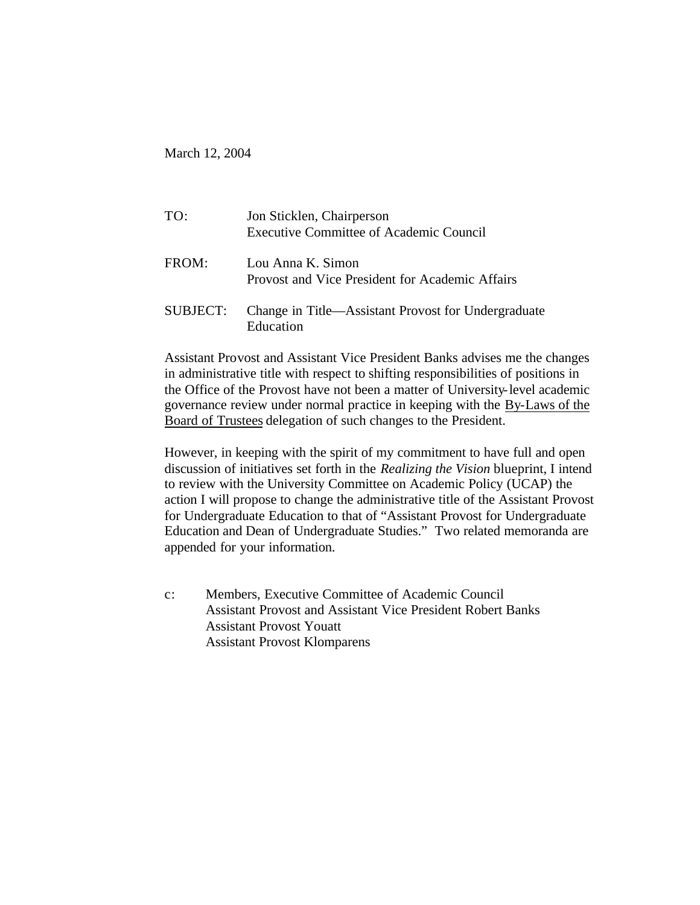March 12, 2004

| TO:      | Jon Sticklen, Chairperson<br><b>Executive Committee of Academic Council</b> |
|----------|-----------------------------------------------------------------------------|
| FROM:    | Lou Anna K. Simon<br>Provost and Vice President for Academic Affairs        |
| SUBJECT: | Change in Title—Assistant Provost for Undergraduate<br>Education            |

Assistant Provost and Assistant Vice President Banks advises me the changes in administrative title with respect to shifting responsibilities of positions in the Office of the Provost have not been a matter of University-level academic governance review under normal practice in keeping with the By-Laws of the Board of Trustees delegation of such changes to the President.

However, in keeping with the spirit of my commitment to have full and open discussion of initiatives set forth in the *Realizing the Vision* blueprint, I intend to review with the University Committee on Academic Policy (UCAP) the action I will propose to change the administrative title of the Assistant Provost for Undergraduate Education to that of "Assistant Provost for Undergraduate Education and Dean of Undergraduate Studies." Two related memoranda are appended for your information.

c: Members, Executive Committee of Academic Council Assistant Provost and Assistant Vice President Robert Banks Assistant Provost Youatt Assistant Provost Klomparens